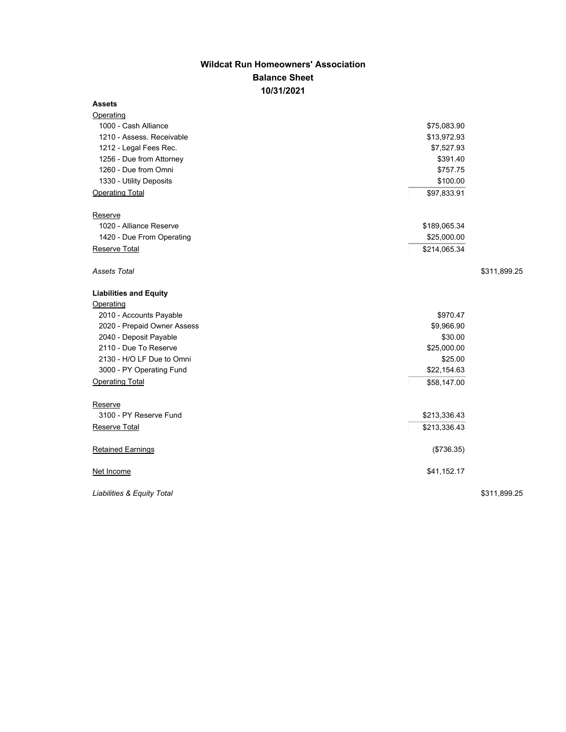## **Wildcat Run Homeowners' Association Balance Sheet 10/31/2021**

## **Assets**

| Operating                     |              |              |
|-------------------------------|--------------|--------------|
| 1000 - Cash Alliance          | \$75,083.90  |              |
| 1210 - Assess. Receivable     | \$13,972.93  |              |
| 1212 - Legal Fees Rec.        | \$7,527.93   |              |
| 1256 - Due from Attorney      | \$391.40     |              |
| 1260 - Due from Omni          | \$757.75     |              |
| 1330 - Utility Deposits       | \$100.00     |              |
| <b>Operating Total</b>        | \$97,833.91  |              |
| Reserve                       |              |              |
| 1020 - Alliance Reserve       | \$189,065.34 |              |
| 1420 - Due From Operating     | \$25,000.00  |              |
| Reserve Total                 | \$214,065.34 |              |
| <b>Assets Total</b>           |              | \$311,899.25 |
| <b>Liabilities and Equity</b> |              |              |
| Operating                     |              |              |
| 2010 - Accounts Payable       | \$970.47     |              |
| 2020 - Prepaid Owner Assess   | \$9,966.90   |              |
| 2040 - Deposit Payable        | \$30.00      |              |
| 2110 - Due To Reserve         | \$25,000.00  |              |
| 2130 - H/O LF Due to Omni     | \$25.00      |              |
| 3000 - PY Operating Fund      | \$22,154.63  |              |
| <b>Operating Total</b>        | \$58,147.00  |              |
| Reserve                       |              |              |
| 3100 - PY Reserve Fund        | \$213,336.43 |              |
| <b>Reserve Total</b>          | \$213,336.43 |              |
| <b>Retained Earnings</b>      | (\$736.35)   |              |
| Net Income                    | \$41,152.17  |              |
| Liabilities & Equity Total    |              | \$311,899.25 |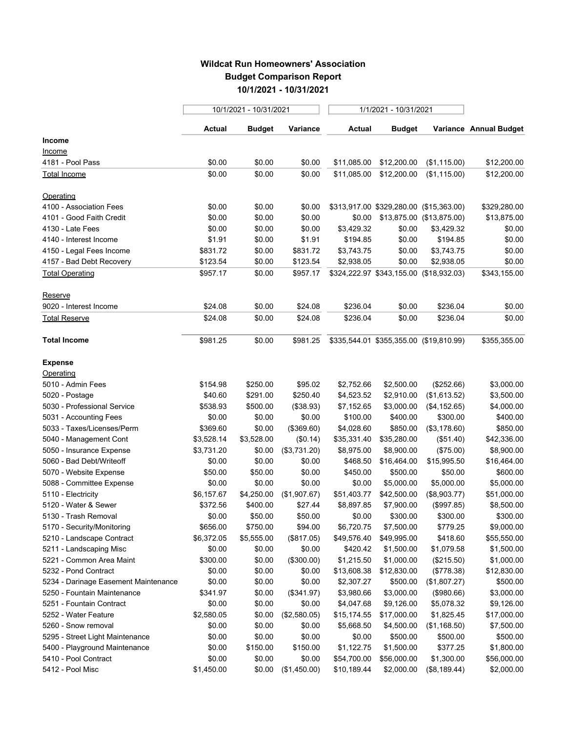## **Wildcat Run Homeowners' Association Budget Comparison Report 10/1/2021 - 10/31/2021**

|                                      | 10/1/2021 - 10/31/2021 |               |              | 1/1/2021 - 10/31/2021 |                                         |              |                        |
|--------------------------------------|------------------------|---------------|--------------|-----------------------|-----------------------------------------|--------------|------------------------|
|                                      | Actual                 | <b>Budget</b> | Variance     | Actual                | <b>Budget</b>                           |              | Variance Annual Budget |
| <b>Income</b>                        |                        |               |              |                       |                                         |              |                        |
| Income                               |                        |               |              |                       |                                         |              |                        |
| 4181 - Pool Pass                     | \$0.00                 | \$0.00        | \$0.00       | \$11,085.00           | \$12,200.00                             | (\$1,115.00) | \$12,200.00            |
| Total Income                         | \$0.00                 | \$0.00        | \$0.00       | \$11,085.00           | \$12,200.00                             | (\$1,115.00) | \$12,200.00            |
| Operating                            |                        |               |              |                       |                                         |              |                        |
| 4100 - Association Fees              | \$0.00                 | \$0.00        | \$0.00       |                       | \$313,917.00 \$329,280.00 (\$15,363.00) |              | \$329,280.00           |
| 4101 - Good Faith Credit             | \$0.00                 | \$0.00        | \$0.00       |                       | \$0.00 \$13,875.00 (\$13,875.00)        |              | \$13,875.00            |
| 4130 - Late Fees                     | \$0.00                 | \$0.00        | \$0.00       | \$3,429.32            | \$0.00                                  | \$3,429.32   | \$0.00                 |
| 4140 - Interest Income               | \$1.91                 | \$0.00        | \$1.91       | \$194.85              | \$0.00                                  | \$194.85     | \$0.00                 |
| 4150 - Legal Fees Income             | \$831.72               | \$0.00        | \$831.72     | \$3,743.75            | \$0.00                                  | \$3,743.75   | \$0.00                 |
| 4157 - Bad Debt Recovery             | \$123.54               | \$0.00        | \$123.54     | \$2,938.05            | \$0.00                                  | \$2,938.05   | \$0.00                 |
| <b>Total Operating</b>               | \$957.17               | \$0.00        | \$957.17     |                       | \$324,222.97 \$343,155.00 (\$18,932.03) |              | \$343,155.00           |
| Reserve                              |                        |               |              |                       |                                         |              |                        |
| 9020 - Interest Income               | \$24.08                | \$0.00        | \$24.08      | \$236.04              | \$0.00                                  | \$236.04     | \$0.00                 |
| Total Reserve                        | \$24.08                | \$0.00        | \$24.08      | \$236.04              | \$0.00                                  | \$236.04     | \$0.00                 |
| <b>Total Income</b>                  | \$981.25               | \$0.00        | \$981.25     |                       | \$335,544.01 \$355,355.00 (\$19,810.99) |              | \$355,355.00           |
| <b>Expense</b>                       |                        |               |              |                       |                                         |              |                        |
| Operating                            |                        |               |              |                       |                                         |              |                        |
| 5010 - Admin Fees                    | \$154.98               | \$250.00      | \$95.02      | \$2,752.66            | \$2,500.00                              | (\$252.66)   | \$3,000.00             |
| 5020 - Postage                       | \$40.60                | \$291.00      | \$250.40     | \$4,523.52            | \$2,910.00                              | (\$1,613.52) | \$3,500.00             |
| 5030 - Professional Service          | \$538.93               | \$500.00      | (\$38.93)    | \$7,152.65            | \$3,000.00                              | (\$4,152.65) | \$4,000.00             |
| 5031 - Accounting Fees               | \$0.00                 | \$0.00        | \$0.00       | \$100.00              | \$400.00                                | \$300.00     | \$400.00               |
| 5033 - Taxes/Licenses/Perm           | \$369.60               | \$0.00        | (\$369.60)   | \$4,028.60            | \$850.00                                | (\$3,178.60) | \$850.00               |
| 5040 - Management Cont               | \$3,528.14             | \$3,528.00    | (\$0.14)     | \$35,331.40           | \$35,280.00                             | (\$51.40)    | \$42,336.00            |
| 5050 - Insurance Expense             | \$3,731.20             | \$0.00        | (\$3,731.20) | \$8,975.00            | \$8,900.00                              | (\$75.00)    | \$8,900.00             |
| 5060 - Bad Debt/Writeoff             | \$0.00                 | \$0.00        | \$0.00       | \$468.50              | \$16,464.00                             | \$15,995.50  | \$16,464.00            |
| 5070 - Website Expense               | \$50.00                | \$50.00       | \$0.00       | \$450.00              | \$500.00                                | \$50.00      | \$600.00               |
| 5088 - Committee Expense             | \$0.00                 | \$0.00        | \$0.00       | \$0.00                | \$5,000.00                              | \$5,000.00   | \$5,000.00             |
| 5110 - Electricity                   | \$6,157.67             | \$4,250.00    | (\$1,907.67) | \$51,403.77           | \$42,500.00                             | (\$8,903.77) | \$51,000.00            |
| 5120 - Water & Sewer                 | \$372.56               | \$400.00      | \$27.44      | \$8,897.85            | \$7,900.00                              | (\$997.85)   | \$8,500.00             |
| 5130 - Trash Removal                 | \$0.00                 | \$50.00       | \$50.00      | \$0.00                | \$300.00                                | \$300.00     | \$300.00               |
| 5170 - Security/Monitoring           | \$656.00               | \$750.00      | \$94.00      | \$6,720.75            | \$7,500.00                              | \$779.25     | \$9,000.00             |
| 5210 - Landscape Contract            | \$6,372.05             | \$5,555.00    | (\$817.05)   | \$49,576.40           | \$49,995.00                             | \$418.60     | \$55,550.00            |
| 5211 - Landscaping Misc              | \$0.00                 | \$0.00        | \$0.00       | \$420.42              | \$1,500.00                              | \$1,079.58   | \$1,500.00             |
| 5221 - Common Area Maint             | \$300.00               | \$0.00        | (\$300.00)   | \$1,215.50            | \$1,000.00                              | (\$215.50)   | \$1,000.00             |
| 5232 - Pond Contract                 | \$0.00                 | \$0.00        | \$0.00       | \$13,608.38           | \$12,830.00                             | (\$778.38)   | \$12,830.00            |
| 5234 - Darinage Easement Maintenance | \$0.00                 | \$0.00        | \$0.00       | \$2,307.27            | \$500.00                                | (\$1,807.27) | \$500.00               |
| 5250 - Fountain Maintenance          | \$341.97               | \$0.00        | (\$341.97)   | \$3,980.66            | \$3,000.00                              | (\$980.66)   | \$3,000.00             |
| 5251 - Fountain Contract             | \$0.00                 | \$0.00        | \$0.00       | \$4,047.68            | \$9,126.00                              | \$5,078.32   | \$9,126.00             |
| 5252 - Water Feature                 | \$2,580.05             | \$0.00        | (\$2,580.05) | \$15,174.55           | \$17,000.00                             | \$1,825.45   | \$17,000.00            |
| 5260 - Snow removal                  | \$0.00                 | \$0.00        | \$0.00       | \$5,668.50            | \$4,500.00                              | (\$1,168.50) | \$7,500.00             |
| 5295 - Street Light Maintenance      | \$0.00                 | \$0.00        | \$0.00       | \$0.00                | \$500.00                                | \$500.00     | \$500.00               |
| 5400 - Playground Maintenance        | \$0.00                 | \$150.00      | \$150.00     | \$1,122.75            | \$1,500.00                              | \$377.25     | \$1,800.00             |
| 5410 - Pool Contract                 | \$0.00                 | \$0.00        | \$0.00       | \$54,700.00           | \$56,000.00                             | \$1,300.00   | \$56,000.00            |
| 5412 - Pool Misc                     | \$1,450.00             | \$0.00        | (\$1,450.00) | \$10,189.44           | \$2,000.00                              | (\$8,189.44) | \$2,000.00             |